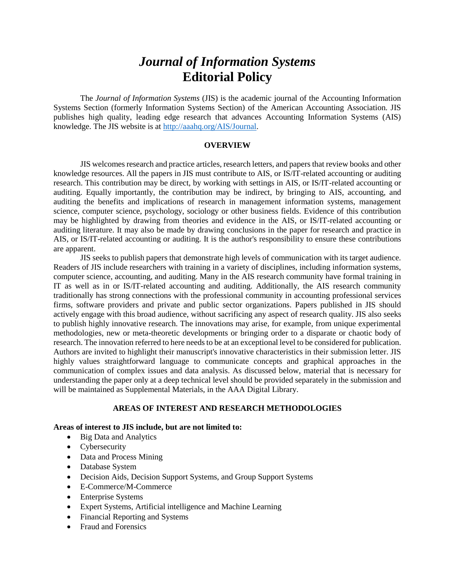# *Journal of Information Systems* **Editorial Policy**

The *Journal of Information Systems* (JIS) is the academic journal of the Accounting Information Systems Section (formerly Information Systems Section) of the American Accounting Association. JIS publishes high quality, leading edge research that advances Accounting Information Systems (AIS) knowledge. The JIS website is at [http://aaahq.org/AIS/Journal.](http://aaahq.org/AIS/Journal)

#### **OVERVIEW**

JIS welcomes research and practice articles, research letters, and papers that review books and other knowledge resources. All the papers in JIS must contribute to AIS, or IS/IT-related accounting or auditing research. This contribution may be direct, by working with settings in AIS, or IS/IT-related accounting or auditing. Equally importantly, the contribution may be indirect, by bringing to AIS, accounting, and auditing the benefits and implications of research in management information systems, management science, computer science, psychology, sociology or other business fields. Evidence of this contribution may be highlighted by drawing from theories and evidence in the AIS, or IS/IT-related accounting or auditing literature. It may also be made by drawing conclusions in the paper for research and practice in AIS, or IS/IT-related accounting or auditing. It is the author's responsibility to ensure these contributions are apparent.

JIS seeks to publish papers that demonstrate high levels of communication with its target audience. Readers of JIS include researchers with training in a variety of disciplines, including information systems, computer science, accounting, and auditing. Many in the AIS research community have formal training in IT as well as in or IS/IT-related accounting and auditing. Additionally, the AIS research community traditionally has strong connections with the professional community in accounting professional services firms, software providers and private and public sector organizations. Papers published in JIS should actively engage with this broad audience, without sacrificing any aspect of research quality. JIS also seeks to publish highly innovative research. The innovations may arise, for example, from unique experimental methodologies, new or meta-theoretic developments or bringing order to a disparate or chaotic body of research. The innovation referred to here needs to be at an exceptional level to be considered for publication. Authors are invited to highlight their manuscript's innovative characteristics in their submission letter. JIS highly values straightforward language to communicate concepts and graphical approaches in the communication of complex issues and data analysis. As discussed below, material that is necessary for understanding the paper only at a deep technical level should be provided separately in the submission and will be maintained as Supplemental Materials, in the AAA Digital Library.

## **AREAS OF INTEREST AND RESEARCH METHODOLOGIES**

#### **Areas of interest to JIS include, but are not limited to:**

- Big Data and Analytics
- Cybersecurity
- Data and Process Mining
- Database System
- Decision Aids, Decision Support Systems, and Group Support Systems
- E-Commerce/M-Commerce
- Enterprise Systems
- Expert Systems, Artificial intelligence and Machine Learning
- Financial Reporting and Systems
- Fraud and Forensics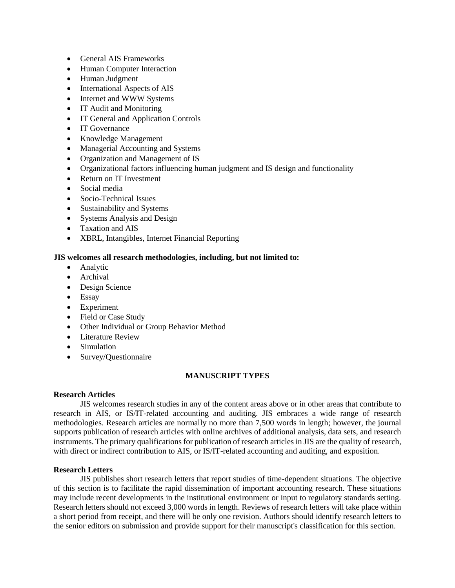- General AIS Frameworks
- Human Computer Interaction
- Human Judgment
- International Aspects of AIS
- Internet and WWW Systems
- IT Audit and Monitoring
- IT General and Application Controls
- IT Governance
- Knowledge Management
- Managerial Accounting and Systems
- Organization and Management of IS
- Organizational factors influencing human judgment and IS design and functionality
- Return on IT Investment
- Social media
- Socio-Technical Issues
- Sustainability and Systems
- Systems Analysis and Design
- Taxation and AIS
- XBRL, Intangibles, Internet Financial Reporting

## **JIS welcomes all research methodologies, including, but not limited to:**

- Analytic
- Archival
- Design Science
- Essay
- Experiment
- Field or Case Study
- Other Individual or Group Behavior Method
- Literature Review
- Simulation
- Survey/Questionnaire

# **MANUSCRIPT TYPES**

## **Research Articles**

JIS welcomes research studies in any of the content areas above or in other areas that contribute to research in AIS, or IS/IT-related accounting and auditing. JIS embraces a wide range of research methodologies. Research articles are normally no more than 7,500 words in length; however, the journal supports publication of research articles with online archives of additional analysis, data sets, and research instruments. The primary qualifications for publication of research articles in JIS are the quality of research, with direct or indirect contribution to AIS, or IS/IT-related accounting and auditing, and exposition.

## **Research Letters**

JIS publishes short research letters that report studies of time-dependent situations. The objective of this section is to facilitate the rapid dissemination of important accounting research. These situations may include recent developments in the institutional environment or input to regulatory standards setting. Research letters should not exceed 3,000 words in length. Reviews of research letters will take place within a short period from receipt, and there will be only one revision. Authors should identify research letters to the senior editors on submission and provide support for their manuscript's classification for this section.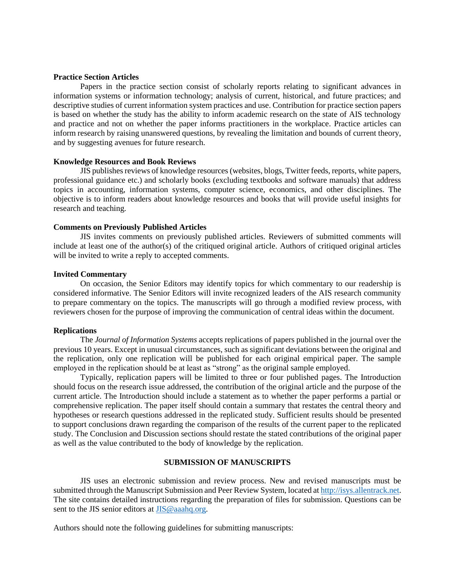#### **Practice Section Articles**

Papers in the practice section consist of scholarly reports relating to significant advances in information systems or information technology; analysis of current, historical, and future practices; and descriptive studies of current information system practices and use. Contribution for practice section papers is based on whether the study has the ability to inform academic research on the state of AIS technology and practice and not on whether the paper informs practitioners in the workplace. Practice articles can inform research by raising unanswered questions, by revealing the limitation and bounds of current theory, and by suggesting avenues for future research.

#### **Knowledge Resources and Book Reviews**

JIS publishes reviews of knowledge resources (websites, blogs, Twitter feeds, reports, white papers, professional guidance etc.) and scholarly books (excluding textbooks and software manuals) that address topics in accounting, information systems, computer science, economics, and other disciplines. The objective is to inform readers about knowledge resources and books that will provide useful insights for research and teaching.

#### **Comments on Previously Published Articles**

JIS invites comments on previously published articles. Reviewers of submitted comments will include at least one of the author(s) of the critiqued original article. Authors of critiqued original articles will be invited to write a reply to accepted comments.

#### **Invited Commentary**

On occasion, the Senior Editors may identify topics for which commentary to our readership is considered informative. The Senior Editors will invite recognized leaders of the AIS research community to prepare commentary on the topics. The manuscripts will go through a modified review process, with reviewers chosen for the purpose of improving the communication of central ideas within the document.

### **Replications**

The *Journal of Information Systems* accepts replications of papers published in the journal over the previous 10 years. Except in unusual circumstances, such as significant deviations between the original and the replication, only one replication will be published for each original empirical paper. The sample employed in the replication should be at least as "strong" as the original sample employed.

Typically, replication papers will be limited to three or four published pages. The Introduction should focus on the research issue addressed, the contribution of the original article and the purpose of the current article. The Introduction should include a statement as to whether the paper performs a partial or comprehensive replication. The paper itself should contain a summary that restates the central theory and hypotheses or research questions addressed in the replicated study. Sufficient results should be presented to support conclusions drawn regarding the comparison of the results of the current paper to the replicated study. The Conclusion and Discussion sections should restate the stated contributions of the original paper as well as the value contributed to the body of knowledge by the replication.

## **SUBMISSION OF MANUSCRIPTS**

JIS uses an electronic submission and review process. New and revised manuscripts must be submitted through the Manuscript Submission and Peer Review System, located a[t http://isys.allentrack.net.](http://isys.allentrack.net/) The site contains detailed instructions regarding the preparation of files for submission. Questions can be sent to the JIS senior editors at [JIS@aaahq.org.](file:///C:/Users/kathryn.armstrong/AppData/Local/Microsoft/Windows/Temporary%20Internet%20Files/Content.IE5/MYFQ2DZX/JIS@aaahq.org)

Authors should note the following guidelines for submitting manuscripts: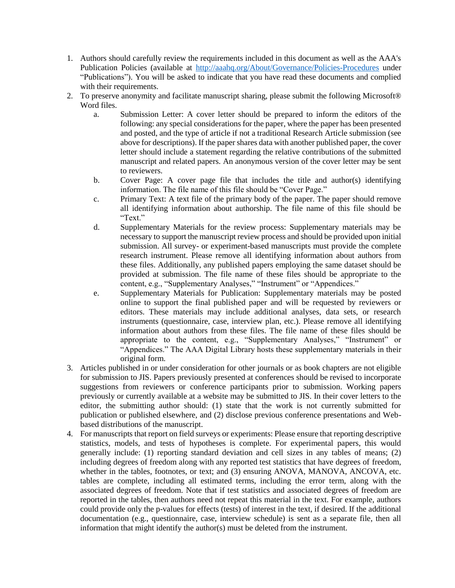- 1. Authors should carefully review the requirements included in this document as well as the AAA's Publication Policies (available at<http://aaahq.org/About/Governance/Policies-Procedures> under "Publications"). You will be asked to indicate that you have read these documents and complied with their requirements.
- 2. To preserve anonymity and facilitate manuscript sharing, please submit the following Microsoft® Word files.
	- a. Submission Letter: A cover letter should be prepared to inform the editors of the following: any special considerations for the paper, where the paper has been presented and posted, and the type of article if not a traditional Research Article submission (see above for descriptions). If the paper shares data with another published paper, the cover letter should include a statement regarding the relative contributions of the submitted manuscript and related papers. An anonymous version of the cover letter may be sent to reviewers.
	- b. Cover Page: A cover page file that includes the title and author(s) identifying information. The file name of this file should be "Cover Page."
	- c. Primary Text: A text file of the primary body of the paper. The paper should remove all identifying information about authorship. The file name of this file should be "Text."
	- d. Supplementary Materials for the review process: Supplementary materials may be necessary to support the manuscript review process and should be provided upon initial submission. All survey- or experiment-based manuscripts must provide the complete research instrument. Please remove all identifying information about authors from these files. Additionally, any published papers employing the same dataset should be provided at submission. The file name of these files should be appropriate to the content, e.g., "Supplementary Analyses," "Instrument" or "Appendices."
	- e. Supplementary Materials for Publication: Supplementary materials may be posted online to support the final published paper and will be requested by reviewers or editors. These materials may include additional analyses, data sets, or research instruments (questionnaire, case, interview plan, etc.). Please remove all identifying information about authors from these files. The file name of these files should be appropriate to the content, e.g., "Supplementary Analyses," "Instrument" or "Appendices." The AAA Digital Library hosts these supplementary materials in their original form.
- 3. Articles published in or under consideration for other journals or as book chapters are not eligible for submission to JIS. Papers previously presented at conferences should be revised to incorporate suggestions from reviewers or conference participants prior to submission. Working papers previously or currently available at a website may be submitted to JIS. In their cover letters to the editor, the submitting author should: (1) state that the work is not currently submitted for publication or published elsewhere, and (2) disclose previous conference presentations and Webbased distributions of the manuscript.
- 4. For manuscripts that report on field surveys or experiments: Please ensure that reporting descriptive statistics, models, and tests of hypotheses is complete. For experimental papers, this would generally include: (1) reporting standard deviation and cell sizes in any tables of means; (2) including degrees of freedom along with any reported test statistics that have degrees of freedom, whether in the tables, footnotes, or text; and (3) ensuring ANOVA, MANOVA, ANCOVA, etc. tables are complete, including all estimated terms, including the error term, along with the associated degrees of freedom. Note that if test statistics and associated degrees of freedom are reported in the tables, then authors need not repeat this material in the text. For example, authors could provide only the p-values for effects (tests) of interest in the text, if desired. If the additional documentation (e.g., questionnaire, case, interview schedule) is sent as a separate file, then all information that might identify the author(s) must be deleted from the instrument.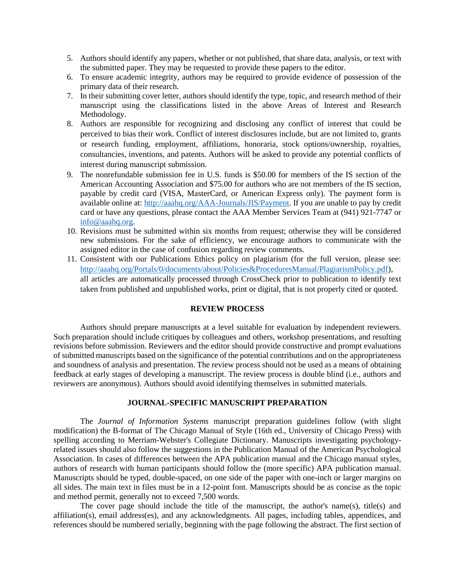- 5. Authors should identify any papers, whether or not published, that share data, analysis, or text with the submitted paper. They may be requested to provide these papers to the editor.
- 6. To ensure academic integrity, authors may be required to provide evidence of possession of the primary data of their research.
- 7. In their submitting cover letter, authors should identify the type, topic, and research method of their manuscript using the classifications listed in the above Areas of Interest and Research Methodology.
- 8. Authors are responsible for recognizing and disclosing any conflict of interest that could be perceived to bias their work. Conflict of interest disclosures include, but are not limited to, grants or research funding, employment, affiliations, honoraria, stock options/ownership, royalties, consultancies, inventions, and patents. Authors will be asked to provide any potential conflicts of interest during manuscript submission.
- 9. The nonrefundable submission fee in U.S. funds is \$50.00 for members of the IS section of the American Accounting Association and \$75.00 for authors who are not members of the IS section, payable by credit card (VISA, MasterCard, or American Express only). The payment form is available online at: [http://aaahq.org/AAA-Journals/JIS/Payment.](http://aaahq.org/AAA-Journals/JIS/Payment) If you are unable to pay by credit card or have any questions, please contact the AAA Member Services Team at (941) 921-7747 or [info@aaahq.org.](file:///C:/Users/kathryn.armstrong/AppData/Local/Microsoft/Windows/Temporary%20Internet%20Files/Content.IE5/MYFQ2DZX/info@aaahq.org)
- 10. Revisions must be submitted within six months from request; otherwise they will be considered new submissions. For the sake of efficiency, we encourage authors to communicate with the assigned editor in the case of confusion regarding review comments.
- 11. Consistent with our Publications Ethics policy on plagiarism (for the full version, please see: [http://aaahq.org/Portals/0/documents/about/Policies&ProceduresManual/PlagiarismPolicy.pdf\)](http://aaahq.org/Portals/0/documents/about/Policies&ProceduresManual/PlagiarismPolicy.pdf), all articles are automatically processed through CrossCheck prior to publication to identify text taken from published and unpublished works, print or digital, that is not properly cited or quoted.

## **REVIEW PROCESS**

Authors should prepare manuscripts at a level suitable for evaluation by independent reviewers. Such preparation should include critiques by colleagues and others, workshop presentations, and resulting revisions before submission. Reviewers and the editor should provide constructive and prompt evaluations of submitted manuscripts based on the significance of the potential contributions and on the appropriateness and soundness of analysis and presentation. The review process should not be used as a means of obtaining feedback at early stages of developing a manuscript. The review process is double blind (i.e., authors and reviewers are anonymous). Authors should avoid identifying themselves in submitted materials.

## **JOURNAL-SPECIFIC MANUSCRIPT PREPARATION**

The *Journal of Information Systems* manuscript preparation guidelines follow (with slight modification) the B-format of The Chicago Manual of Style (16th ed., University of Chicago Press) with spelling according to Merriam-Webster's Collegiate Dictionary. Manuscripts investigating psychologyrelated issues should also follow the suggestions in the Publication Manual of the American Psychological Association. In cases of differences between the APA publication manual and the Chicago manual styles, authors of research with human participants should follow the (more specific) APA publication manual. Manuscripts should be typed, double-spaced, on one side of the paper with one-inch or larger margins on all sides. The main text in files must be in a 12-point font. Manuscripts should be as concise as the topic and method permit, generally not to exceed 7,500 words.

The cover page should include the title of the manuscript, the author's name(s), title(s) and affiliation(s), email address(es), and any acknowledgments. All pages, including tables, appendices, and references should be numbered serially, beginning with the page following the abstract. The first section of